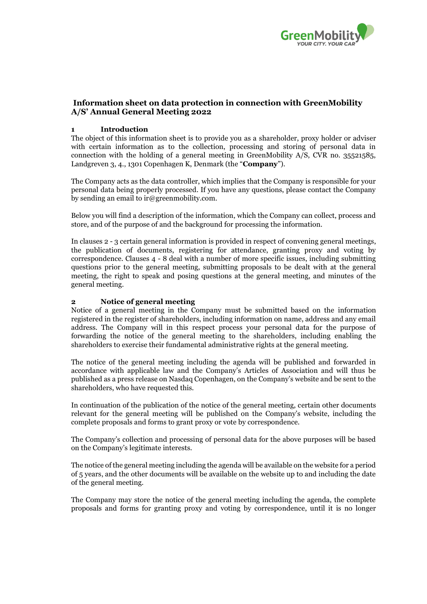

# **Information sheet on data protection in connection with GreenMobility A/S' Annual General Meeting 2022**

### **1 Introduction**

The object of this information sheet is to provide you as a shareholder, proxy holder or adviser with certain information as to the collection, processing and storing of personal data in connection with the holding of a general meeting in GreenMobility A/S, CVR no. 35521585, Landgreven 3, 4., 1301 Copenhagen K, Denmark (the "**Company**").

The Company acts as the data controller, which implies that the Company is responsible for your personal data being properly processed. If you have any questions, please contact the Company by sending an email to ir@greenmobility.com.

Below you will find a description of the information, which the Company can collect, process and store, and of the purpose of and the background for processing the information.

In clauses 2 - 3 certain general information is provided in respect of convening general meetings, the publication of documents, registering for attendance, granting proxy and voting by correspondence. Clauses 4 - 8 deal with a number of more specific issues, including submitting questions prior to the general meeting, submitting proposals to be dealt with at the general meeting, the right to speak and posing questions at the general meeting, and minutes of the general meeting.

#### **2 Notice of general meeting**

Notice of a general meeting in the Company must be submitted based on the information registered in the register of shareholders, including information on name, address and any email address. The Company will in this respect process your personal data for the purpose of forwarding the notice of the general meeting to the shareholders, including enabling the shareholders to exercise their fundamental administrative rights at the general meeting.

The notice of the general meeting including the agenda will be published and forwarded in accordance with applicable law and the Company's Articles of Association and will thus be published as a press release on Nasdaq Copenhagen, on the Company's website and be sent to the shareholders, who have requested this.

In continuation of the publication of the notice of the general meeting, certain other documents relevant for the general meeting will be published on the Company's website, including the complete proposals and forms to grant proxy or vote by correspondence.

The Company's collection and processing of personal data for the above purposes will be based on the Company's legitimate interests.

The notice of the general meeting including the agenda will be available on the website for a period of 5 years, and the other documents will be available on the website up to and including the date of the general meeting.

The Company may store the notice of the general meeting including the agenda, the complete proposals and forms for granting proxy and voting by correspondence, until it is no longer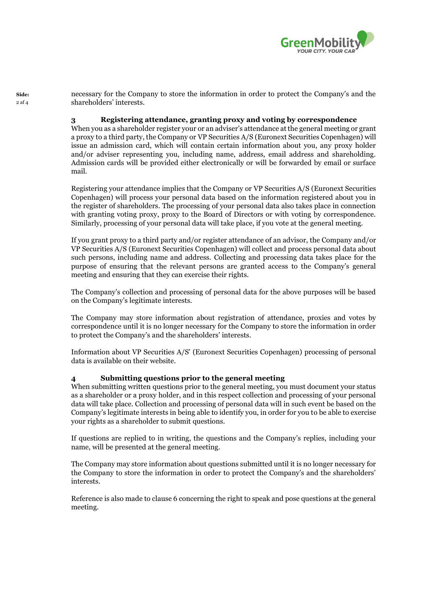

**Side:** necessary for the Company to store the information in order to protect the Company's and the shareholders' interests.

#### **3 Registering attendance, granting proxy and voting by correspondence**

When you as a shareholder register your or an adviser's attendance at the general meeting or grant a proxy to a third party, the Company or VP Securities A/S (Euronext Securities Copenhagen) will issue an admission card, which will contain certain information about you, any proxy holder and/or adviser representing you, including name, address, email address and shareholding. Admission cards will be provided either electronically or will be forwarded by email or surface mail.

Registering your attendance implies that the Company or VP Securities A/S (Euronext Securities Copenhagen) will process your personal data based on the information registered about you in the register of shareholders. The processing of your personal data also takes place in connection with granting voting proxy, proxy to the Board of Directors or with voting by correspondence. Similarly, processing of your personal data will take place, if you vote at the general meeting.

If you grant proxy to a third party and/or register attendance of an advisor, the Company and/or VP Securities A/S (Euronext Securities Copenhagen) will collect and process personal data about such persons, including name and address. Collecting and processing data takes place for the purpose of ensuring that the relevant persons are granted access to the Company's general meeting and ensuring that they can exercise their rights.

The Company's collection and processing of personal data for the above purposes will be based on the Company's legitimate interests.

The Company may store information about registration of attendance, proxies and votes by correspondence until it is no longer necessary for the Company to store the information in order to protect the Company's and the shareholders' interests.

Information about VP Securities A/S' (Euronext Securities Copenhagen) processing of personal data is available on their website.

#### **4 Submitting questions prior to the general meeting**

When submitting written questions prior to the general meeting, you must document your status as a shareholder or a proxy holder, and in this respect collection and processing of your personal data will take place. Collection and processing of personal data will in such event be based on the Company's legitimate interests in being able to identify you, in order for you to be able to exercise your rights as a shareholder to submit questions.

If questions are replied to in writing, the questions and the Company's replies, including your name, will be presented at the general meeting.

The Company may store information about questions submitted until it is no longer necessary for the Company to store the information in order to protect the Company's and the shareholders' interests.

Reference is also made to clause 6 concerning the right to speak and pose questions at the general meeting.

2 af 4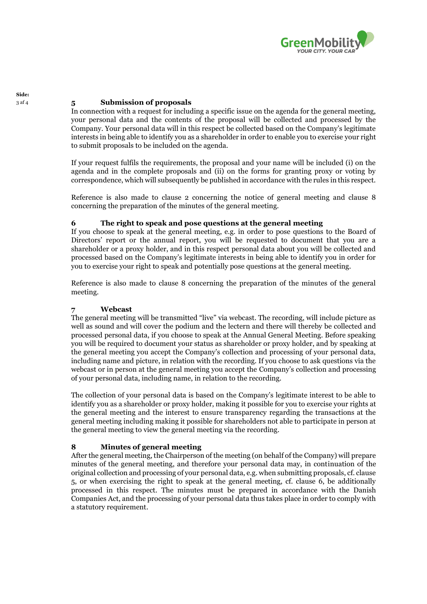

# <sup>3</sup> af 4 **5 Submission of proposals**

**Side:**

In connection with a request for including a specific issue on the agenda for the general meeting, your personal data and the contents of the proposal will be collected and processed by the Company. Your personal data will in this respect be collected based on the Company's legitimate interests in being able to identify you as a shareholder in order to enable you to exercise your right to submit proposals to be included on the agenda.

If your request fulfils the requirements, the proposal and your name will be included (i) on the agenda and in the complete proposals and (ii) on the forms for granting proxy or voting by correspondence, which will subsequently be published in accordance with the rules in this respect.

Reference is also made to clause 2 concerning the notice of general meeting and clause 8 concerning the preparation of the minutes of the general meeting.

#### **6 The right to speak and pose questions at the general meeting**

If you choose to speak at the general meeting, e.g. in order to pose questions to the Board of Directors' report or the annual report, you will be requested to document that you are a shareholder or a proxy holder, and in this respect personal data about you will be collected and processed based on the Company's legitimate interests in being able to identify you in order for you to exercise your right to speak and potentially pose questions at the general meeting.

Reference is also made to clause 8 concerning the preparation of the minutes of the general meeting.

## **7 Webcast**

The general meeting will be transmitted "live" via webcast. The recording, will include picture as well as sound and will cover the podium and the lectern and there will thereby be collected and processed personal data, if you choose to speak at the Annual General Meeting. Before speaking you will be required to document your status as shareholder or proxy holder, and by speaking at the general meeting you accept the Company's collection and processing of your personal data, including name and picture, in relation with the recording. If you choose to ask questions via the webcast or in person at the general meeting you accept the Company's collection and processing of your personal data, including name, in relation to the recording.

The collection of your personal data is based on the Company's legitimate interest to be able to identify you as a shareholder or proxy holder, making it possible for you to exercise your rights at the general meeting and the interest to ensure transparency regarding the transactions at the general meeting including making it possible for shareholders not able to participate in person at the general meeting to view the general meeting via the recording.

## **8 Minutes of general meeting**

After the general meeting, the Chairperson of the meeting (on behalf of the Company) will prepare minutes of the general meeting, and therefore your personal data may, in continuation of the original collection and processing of your personal data, e.g. when submitting proposals, cf. clause 5, or when exercising the right to speak at the general meeting, cf. clause 6, be additionally processed in this respect. The minutes must be prepared in accordance with the Danish Companies Act, and the processing of your personal data thus takes place in order to comply with a statutory requirement.